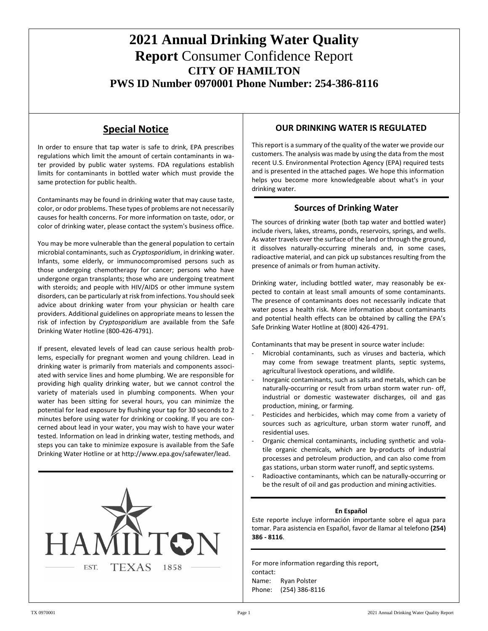# **2021 Annual Drinking Water Quality Report** Consumer Confidence Report **CITY OF HAMILTON PWS ID Number 0970001 Phone Number: 254-386-8116**

## **Special Notice**

In order to ensure that tap water is safe to drink, EPA prescribes regulations which limit the amount of certain contaminants in water provided by public water systems. FDA regulations establish limits for contaminants in bottled water which must provide the same protection for public health.

Contaminants may be found in drinking water that may cause taste, color, or odor problems. These types of problems are not necessarily causes for health concerns. For more information on taste, odor, or color of drinking water, please contact the system's business office.

You may be more vulnerable than the general population to certain microbial contaminants, such as *Cryptosporidium*, in drinking water. Infants, some elderly, or immunocompromised persons such as those undergoing chemotherapy for cancer; persons who have undergone organ transplants; those who are undergoing treatment with steroids; and people with HIV/AIDS or other immune system disorders, can be particularly at risk from infections. You should seek advice about drinking water from your physician or health care providers. Additional guidelines on appropriate means to lessen the risk of infection by *Cryptosporidium* are available from the Safe Drinking Water Hotline (800-426-4791).

If present, elevated levels of lead can cause serious health problems, especially for pregnant women and young children. Lead in drinking water is primarily from materials and components associated with service lines and home plumbing. We are responsible for providing high quality drinking water, but we cannot control the variety of materials used in plumbing components. When your water has been sitting for several hours, you can minimize the potential for lead exposure by flushing your tap for 30 seconds to 2 minutes before using water for drinking or cooking. If you are concerned about lead in your water, you may wish to have your water tested. Information on lead in drinking water, testing methods, and steps you can take to minimize exposure is available from the Safe Drinking Water Hotline or at [http://www.epa.gov/safewater/lead.](http://www.epa.gov/safewater/lead)



### **OUR DRINKING WATER IS REGULATED**

This report is a summary of the quality of the water we provide our customers. The analysis was made by using the data from the most recent U.S. Environmental Protection Agency (EPA) required tests and is presented in the attached pages. We hope this information helps you become more knowledgeable about what's in your drinking water.

### **Sources of Drinking Water**

The sources of drinking water (both tap water and bottled water) include rivers, lakes, streams, ponds, reservoirs, springs, and wells. As water travels over the surface of the land or through the ground, it dissolves naturally-occurring minerals and, in some cases, radioactive material, and can pick up substances resulting from the presence of animals or from human activity.

Drinking water, including bottled water, may reasonably be expected to contain at least small amounts of some contaminants. The presence of contaminants does not necessarily indicate that water poses a health risk. More information about contaminants and potential health effects can be obtained by calling the EPA's Safe Drinking Water Hotline at (800) 426-4791.

Contaminants that may be present in source water include:

- Microbial contaminants, such as viruses and bacteria, which may come from sewage treatment plants, septic systems, agricultural livestock operations, and wildlife.
- Inorganic contaminants, such as salts and metals, which can be naturally-occurring or result from urban storm water run- off, industrial or domestic wastewater discharges, oil and gas production, mining, or farming.
- Pesticides and herbicides, which may come from a variety of sources such as agriculture, urban storm water runoff, and residential uses.
- Organic chemical contaminants, including synthetic and volatile organic chemicals, which are by-products of industrial processes and petroleum production, and can also come from gas stations, urban storm water runoff, and septic systems.
- Radioactive contaminants, which can be naturally-occurring or be the result of oil and gas production and mining activities.

#### **En Español**

Este reporte incluye información importante sobre el agua para tomar. Para asistencia en Español, favor de llamar al telefono **(254) 386 - 8116**.

For more information regarding this report, contact: Name: Ryan Polster Phone: (254) 386-8116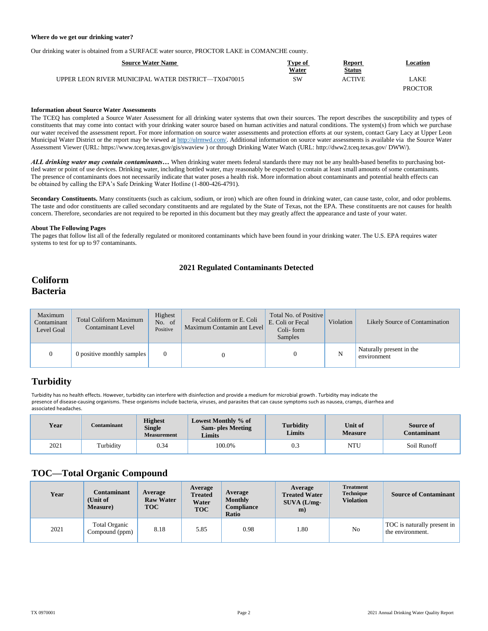#### **Where do we get our drinking water?**

Our drinking water is obtained from a SURFACE water source, PROCTOR LAKE in COMANCHE county.

| <b>Source Water Name</b>                            | Type of<br>Water | <b>Report</b><br><b>Status</b> | Location       |
|-----------------------------------------------------|------------------|--------------------------------|----------------|
| UPPER LEON RIVER MUNICIPAL WATER DISTRICT—TX0470015 | SW               | ACTIVE                         | AKE            |
|                                                     |                  |                                | <b>PROCTOR</b> |

#### **Information about Source Water Assessments**

The TCEQ has completed a Source Water Assessment for all drinking water systems that own their sources. The report describes the susceptibility and types of constituents that may come into contact with your drinking water source based on human activities and natural conditions. The system(s) from which we purchase our water received the assessment report. For more information on source water assessments and protection efforts at our system, contact Gary Lacy at Upper Leon Municipal Water District or the report may be viewed a[t http://ulrmwd.com/.](http://ulrmwd.com/) Additional information on source water assessments is available via the Source Water Assessment Viewer (URL: https:[//www.tceq.texas.gov/gis/swaview](http://www.tceq.texas.gov/gis/swaview) ) or through Drinking Water Watch (URL[: http://dww2.tceq.texas.gov/](http://dww2.tceq.texas.gov/) DWW/).

*ALL drinking water may contain contaminants…* When drinking water meets federal standards there may not be any health-based benefits to purchasing bottled water or point of use devices. Drinking water, including bottled water, may reasonably be expected to contain at least small amounts of some contaminants. The presence of contaminants does not necessarily indicate that water poses a health risk. More information about contaminants and potential health effects can be obtained by calling the EPA's Safe Drinking Water Hotline (1-800-426-4791).

Secondary Constituents. Many constituents (such as calcium, sodium, or iron) which are often found in drinking water, can cause taste, color, and odor problems. The taste and odor constituents are called secondary constituents and are regulated by the State of Texas, not the EPA. These constituents are not causes for health concern. Therefore, secondaries are not required to be reported in this document but they may greatly affect the appearance and taste of your water.

#### **About The Following Pages**

The pages that follow list all of the federally regulated or monitored contaminants which have been found in your drinking water. The U.S. EPA requires water systems to test for up to 97 contaminants.

#### **2021 Regulated Contaminants Detected**

### **Coliform Bacteria**

| Maximum<br>Contaminant<br>Level Goal | <b>Total Coliform Maximum</b><br><b>Contaminant Level</b> | <b>Highest</b><br>No. of<br>Positive | Fecal Coliform or E. Coli<br>Maximum Contamin ant Level | Total No. of Positive<br>E. Coli or Fecal<br>Coli-form<br><b>Samples</b> | Violation | Likely Source of Contamination          |
|--------------------------------------|-----------------------------------------------------------|--------------------------------------|---------------------------------------------------------|--------------------------------------------------------------------------|-----------|-----------------------------------------|
|                                      | 0 positive monthly samples                                |                                      |                                                         |                                                                          | N         | Naturally present in the<br>environment |

## **Turbidity**

Turbidity has no health effects. However, turbidity can interfere with disinfection and provide a medium for microbial growth. Turbidity may indicate the presence of disease-causing organisms. These organisms include bacteria, viruses, and parasites that can cause symptoms such as nausea, cramps, diarrhea and associated headaches.

| Year | Contaminant | <b>Highest</b><br><b>Single</b><br><b>Measurement</b> | Lowest Monthly % of<br><b>Sam-</b> ples Meeting<br><b>Limits</b> | <b>Turbidity</b><br>Limits | Unit of<br><b>Measure</b> | Source of<br><b>Contaminant</b> |
|------|-------------|-------------------------------------------------------|------------------------------------------------------------------|----------------------------|---------------------------|---------------------------------|
| 2021 | Turbidity   | 0.34                                                  | 100.0%                                                           | 0.3                        | NTU                       | Soil Runoff                     |

#### **TOC—Total Organic Compound**

| Year | Contaminant<br>(Unit of<br><b>Measure</b> ) | Average<br><b>Raw Water</b><br><b>TOC</b> | Average<br><b>Treated</b><br>Water<br><b>TOC</b> | Average<br><b>Monthly</b><br><b>Compliance</b><br><b>Ratio</b> | Average<br><b>Treated Water</b><br>$SUNA (L/mg-$<br>m) | <b>Treatment</b><br><b>Technique</b><br><b>Violation</b> | <b>Source of Contaminant</b>                    |
|------|---------------------------------------------|-------------------------------------------|--------------------------------------------------|----------------------------------------------------------------|--------------------------------------------------------|----------------------------------------------------------|-------------------------------------------------|
| 2021 | <b>Total Organic</b><br>Compound (ppm)      | 8.18                                      | 5.85                                             | 0.98                                                           | .80                                                    | N <sub>o</sub>                                           | TOC is naturally present in<br>the environment. |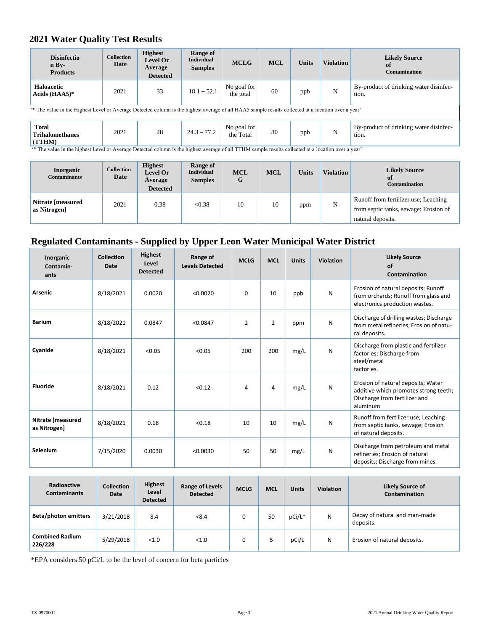## **2021 Water Quality Test Results**

| <b>Disinfectio</b><br>n Bv<br><b>Products</b>                                                                                                                                                            | <b>Collection</b><br>Date | <b>Highest</b><br><b>Level Or</b><br>Average<br><b>Detected</b> | Range of<br><b>Individual</b><br><b>Samples</b> | <b>MCLG</b>              | <b>MCL</b> | <b>Units</b> | <b>Violation</b> | <b>Likely Source</b><br>of<br><b>Contamination</b> |
|----------------------------------------------------------------------------------------------------------------------------------------------------------------------------------------------------------|---------------------------|-----------------------------------------------------------------|-------------------------------------------------|--------------------------|------------|--------------|------------------|----------------------------------------------------|
| Haloacetic<br>Acids $(HAA5)*$                                                                                                                                                                            | 2021                      | 33                                                              | $18.1 - 52.1$                                   | No goal for<br>the total | 60         | ppb          | N                | By-product of drinking water disinfec-<br>tion.    |
| <sup>**</sup> The value in the Highest Level or Average Detected column is the highest average of all HAA5 sample results collected at a location over a year'                                           |                           |                                                                 |                                                 |                          |            |              |                  |                                                    |
| <b>Total</b><br><b>Trihalomethanes</b><br>(TTHM)<br>(* The value in the highest Level on Avenues Detected column is the highest overgon of all TTIM complex poulte collected at a Levelius overgon veces | 2021                      | 48                                                              | $24.3 - 77.2$                                   | No goal for<br>the Total | 80         | ppb          | N                | By-product of drinking water disinfec-<br>tion.    |

The value in the highest Level or Average Detected column is the highest average of all TTHM sample results collected at a location over a year

| <b>Inorganic</b><br><b>Contaminants</b>  | <b>Collection</b><br>Date | <b>Highest</b><br>Level Or<br>Average<br><b>Detected</b> | Range of<br><b>Individual</b><br><b>Samples</b> | <b>MCL</b><br>G | <b>MCL</b> | <b>Units</b> | <b>Violation</b> | <b>Likely Source</b><br>of<br>Contamination                                                        |
|------------------------------------------|---------------------------|----------------------------------------------------------|-------------------------------------------------|-----------------|------------|--------------|------------------|----------------------------------------------------------------------------------------------------|
| <b>Nitrate [measured]</b><br>as Nitrogen | 2021                      | 0.38                                                     | < 0.38                                          | 10              | 10         | ppm          | N                | Runoff from fertilizer use; Leaching<br>from septic tanks, sewage; Erosion of<br>natural deposits. |

# **Regulated Contaminants - Supplied by Upper Leon Water Municipal Water District**

| Inorganic<br>Contamin-<br>ants    | <b>Collection</b><br><b>Date</b> | Highest<br>Level<br><b>Detected</b> | Range of<br><b>Levels Detected</b> | <b>MCLG</b>    | <b>MCL</b>     | <b>Units</b> | Violation | <b>Likely Source</b><br>of<br>Contamination                                                                              |
|-----------------------------------|----------------------------------|-------------------------------------|------------------------------------|----------------|----------------|--------------|-----------|--------------------------------------------------------------------------------------------------------------------------|
| <b>Arsenic</b>                    | 8/18/2021                        | 0.0020                              | < 0.0020                           | $\Omega$       | 10             | ppb          | N         | Erosion of natural deposits; Runoff<br>from orchards; Runoff from glass and<br>electronics production wastes.            |
| <b>Barium</b>                     | 8/18/2021                        | 0.0847                              | < 0.0847                           | $\overline{2}$ | $\overline{2}$ | ppm          | N         | Discharge of drilling wastes; Discharge<br>from metal refineries; Erosion of natu-<br>ral deposits.                      |
| Cyanide                           | 8/18/2021                        | < 0.05                              | < 0.05                             | 200            | 200            | mg/L         | N         | Discharge from plastic and fertilizer<br>factories; Discharge from<br>steel/metal<br>factories.                          |
| <b>Fluoride</b>                   | 8/18/2021                        | 0.12                                | < 0.12                             | 4              | 4              | mg/L         | N         | Erosion of natural deposits; Water<br>additive which promotes strong teeth;<br>Discharge from fertilizer and<br>aluminum |
| Nitrate [measured<br>as Nitrogen] | 8/18/2021                        | 0.18                                | < 0.18                             | 10             | 10             | mg/L         | N         | Runoff from fertilizer use; Leaching<br>from septic tanks, sewage; Erosion<br>of natural deposits.                       |
| Selenium                          | 7/15/2020                        | 0.0030                              | < 0.0030                           | 50             | 50             | mg/L         | N         | Discharge from petroleum and metal<br>refineries; Erosion of natural<br>deposits; Discharge from mines.                  |

| Radioactive<br><b>Contaminants</b> | <b>Collection</b><br>Date | <b>Highest</b><br>Level<br><b>Detected</b> | <b>Range of Levels</b><br><b>Detected</b> | <b>MCLG</b> | <b>MCL</b> | <b>Units</b> | <b>Violation</b> | <b>Likely Source of</b><br>Contamination   |
|------------------------------------|---------------------------|--------------------------------------------|-------------------------------------------|-------------|------------|--------------|------------------|--------------------------------------------|
| <b>Beta/photon emitters</b>        | 3/21/2018                 | 8.4                                        | < 8.4                                     |             | 50         | pCi/L*       | N                | Decay of natural and man-made<br>deposits. |
| <b>Combined Radium</b><br>226/228  | 5/29/2018                 | < 1.0                                      | < 1.0                                     |             |            | pCi/L        | N                | Erosion of natural deposits.               |

\*EPA considers 50 pCi/L to be the level of concern for beta particles